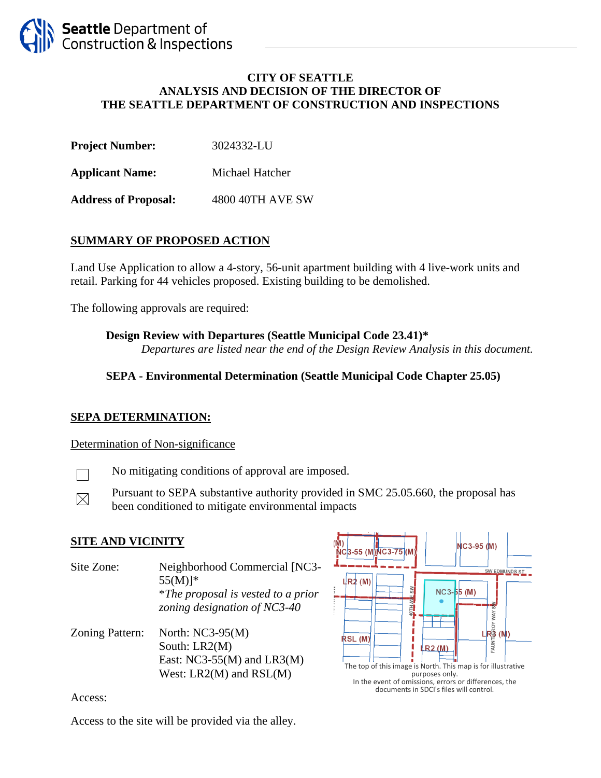### **CITY OF SEATTLE ANALYSIS AND DECISION OF THE DIRECTOR OF THE SEATTLE DEPARTMENT OF CONSTRUCTION AND INSPECTIONS**

| <b>Project Number:</b> | 3024332-LU |
|------------------------|------------|
|                        |            |

**Applicant Name:** Michael Hatcher

**Address of Proposal:** 4800 40TH AVE SW

## **SUMMARY OF PROPOSED ACTION**

Land Use Application to allow a 4-story, 56-unit apartment building with 4 live-work units and retail. Parking for 44 vehicles proposed. Existing building to be demolished.

The following approvals are required:

### **Design Review with Departures (Seattle Municipal Code 23.41)\***

*Departures are listed near the end of the Design Review Analysis in this document.*

### **SEPA - Environmental Determination (Seattle Municipal Code Chapter 25.05)**

### **SEPA DETERMINATION:**

### Determination of Non-significance



 $\boxtimes$ 

No mitigating conditions of approval are imposed.

Pursuant to SEPA substantive authority provided in SMC 25.05.660, the proposal has been conditioned to mitigate environmental impacts

### **SITE AND VICINITY**

Site Zone: Neighborhood Commercial [NC3-  $55(M)$ <sup>\*</sup> \**The proposal is vested to a prior zoning designation of NC3-40*

Zoning Pattern: North: NC3-95(M) South: LR2(M) East:  $NC3-55(M)$  and  $LR3(M)$ West: LR2(M) and RSL(M)



Access:

Access to the site will be provided via the alley.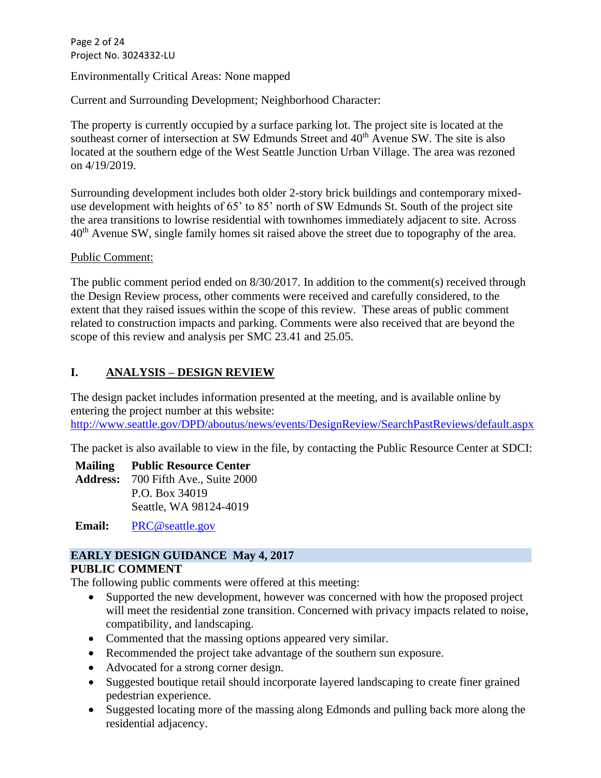Page 2 of 24 Project No. 3024332-LU

Environmentally Critical Areas: None mapped

Current and Surrounding Development; Neighborhood Character:

The property is currently occupied by a surface parking lot. The project site is located at the southeast corner of intersection at SW Edmunds Street and 40<sup>th</sup> Avenue SW. The site is also located at the southern edge of the West Seattle Junction Urban Village. The area was rezoned on 4/19/2019.

Surrounding development includes both older 2-story brick buildings and contemporary mixeduse development with heights of 65' to 85' north of SW Edmunds St. South of the project site the area transitions to lowrise residential with townhomes immediately adjacent to site. Across 40<sup>th</sup> Avenue SW, single family homes sit raised above the street due to topography of the area.

Public Comment:

The public comment period ended on 8/30/2017. In addition to the comment(s) received through the Design Review process, other comments were received and carefully considered, to the extent that they raised issues within the scope of this review. These areas of public comment related to construction impacts and parking. Comments were also received that are beyond the scope of this review and analysis per SMC 23.41 and 25.05.

### **I. ANALYSIS – DESIGN REVIEW**

The design packet includes information presented at the meeting, and is available online by entering the project number at this website: <http://www.seattle.gov/DPD/aboutus/news/events/DesignReview/SearchPastReviews/default.aspx>

The packet is also available to view in the file, by contacting the Public Resource Center at SDCI:

**Mailing Address:** 700 Fifth Ave., Suite 2000 **Public Resource Center** P.O. Box 34019

Seattle, WA 98124-4019

**Email:** [PRC@seattle.gov](mailto:PRC@seattle.gov)

### **EARLY DESIGN GUIDANCE May 4, 2017**

### **PUBLIC COMMENT**

The following public comments were offered at this meeting:

- Supported the new development, however was concerned with how the proposed project will meet the residential zone transition. Concerned with privacy impacts related to noise, compatibility, and landscaping.
- Commented that the massing options appeared very similar.
- Recommended the project take advantage of the southern sun exposure.
- Advocated for a strong corner design.
- Suggested boutique retail should incorporate layered landscaping to create finer grained pedestrian experience.
- Suggested locating more of the massing along Edmonds and pulling back more along the residential adjacency.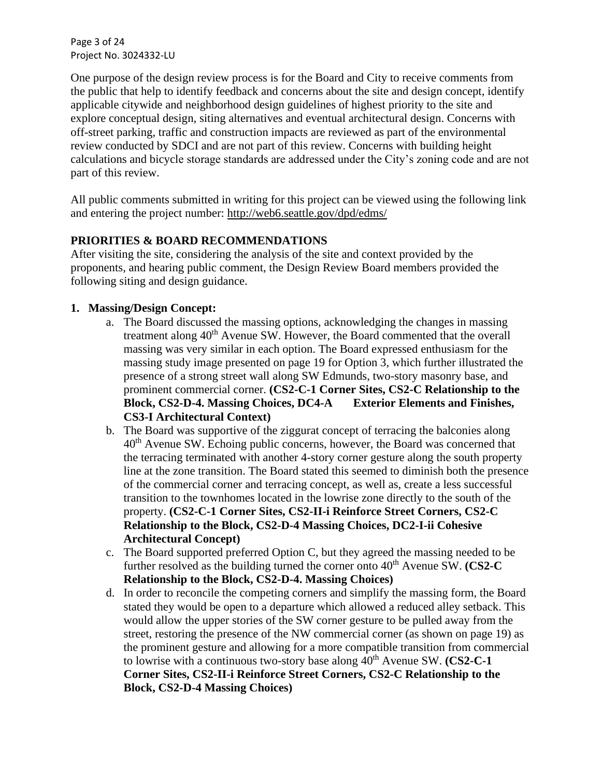Page 3 of 24 Project No. 3024332-LU

One purpose of the design review process is for the Board and City to receive comments from the public that help to identify feedback and concerns about the site and design concept, identify applicable citywide and neighborhood design guidelines of highest priority to the site and explore conceptual design, siting alternatives and eventual architectural design. Concerns with off-street parking, traffic and construction impacts are reviewed as part of the environmental review conducted by SDCI and are not part of this review. Concerns with building height calculations and bicycle storage standards are addressed under the City's zoning code and are not part of this review.

All public comments submitted in writing for this project can be viewed using the following link and entering the project number:<http://web6.seattle.gov/dpd/edms/>

### **PRIORITIES & BOARD RECOMMENDATIONS**

After visiting the site, considering the analysis of the site and context provided by the proponents, and hearing public comment, the Design Review Board members provided the following siting and design guidance.

### **1. Massing/Design Concept:**

- a. The Board discussed the massing options, acknowledging the changes in massing treatment along 40<sup>th</sup> Avenue SW. However, the Board commented that the overall massing was very similar in each option. The Board expressed enthusiasm for the massing study image presented on page 19 for Option 3, which further illustrated the presence of a strong street wall along SW Edmunds, two-story masonry base, and prominent commercial corner. **(CS2-C-1 Corner Sites, CS2-C Relationship to the Block, CS2-D-4. Massing Choices, DC4-A Exterior Elements and Finishes, CS3-I Architectural Context)**
- b. The Board was supportive of the ziggurat concept of terracing the balconies along  $40<sup>th</sup>$  Avenue SW. Echoing public concerns, however, the Board was concerned that the terracing terminated with another 4-story corner gesture along the south property line at the zone transition. The Board stated this seemed to diminish both the presence of the commercial corner and terracing concept, as well as, create a less successful transition to the townhomes located in the lowrise zone directly to the south of the property. **(CS2-C-1 Corner Sites, CS2-II-i Reinforce Street Corners, CS2-C Relationship to the Block, CS2-D-4 Massing Choices, DC2-I-ii Cohesive Architectural Concept)**
- c. The Board supported preferred Option C, but they agreed the massing needed to be further resolved as the building turned the corner onto  $40<sup>th</sup>$  Avenue SW. **(CS2-C Relationship to the Block, CS2-D-4. Massing Choices)**
- d. In order to reconcile the competing corners and simplify the massing form, the Board stated they would be open to a departure which allowed a reduced alley setback. This would allow the upper stories of the SW corner gesture to be pulled away from the street, restoring the presence of the NW commercial corner (as shown on page 19) as the prominent gesture and allowing for a more compatible transition from commercial to lowrise with a continuous two-story base along  $40<sup>th</sup>$  Avenue SW. **(CS2-C-1**) **Corner Sites, CS2-II-i Reinforce Street Corners, CS2-C Relationship to the Block, CS2-D-4 Massing Choices)**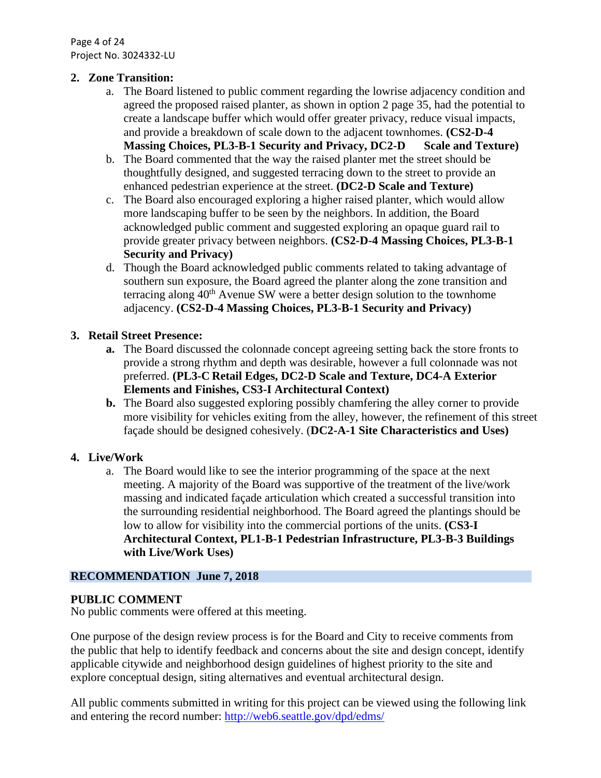Page 4 of 24 Project No. 3024332-LU

### **2. Zone Transition:**

- a. The Board listened to public comment regarding the lowrise adjacency condition and agreed the proposed raised planter, as shown in option 2 page 35, had the potential to create a landscape buffer which would offer greater privacy, reduce visual impacts, and provide a breakdown of scale down to the adjacent townhomes. **(CS2-D-4 Massing Choices, PL3-B-1 Security and Privacy, DC2-D Scale and Texture)**
- b. The Board commented that the way the raised planter met the street should be thoughtfully designed, and suggested terracing down to the street to provide an enhanced pedestrian experience at the street. **(DC2-D Scale and Texture)**
- c. The Board also encouraged exploring a higher raised planter, which would allow more landscaping buffer to be seen by the neighbors. In addition, the Board acknowledged public comment and suggested exploring an opaque guard rail to provide greater privacy between neighbors. **(CS2-D-4 Massing Choices, PL3-B-1 Security and Privacy)**
- d. Though the Board acknowledged public comments related to taking advantage of southern sun exposure, the Board agreed the planter along the zone transition and terracing along  $40<sup>th</sup>$  Avenue SW were a better design solution to the townhome adjacency. **(CS2-D-4 Massing Choices, PL3-B-1 Security and Privacy)**

### **3. Retail Street Presence:**

- **a.** The Board discussed the colonnade concept agreeing setting back the store fronts to provide a strong rhythm and depth was desirable, however a full colonnade was not preferred. **(PL3-C Retail Edges, DC2-D Scale and Texture, DC4-A Exterior Elements and Finishes, CS3-I Architectural Context)**
- **b.** The Board also suggested exploring possibly chamfering the alley corner to provide more visibility for vehicles exiting from the alley, however, the refinement of this street façade should be designed cohesively. (**DC2-A-1 Site Characteristics and Uses)**

### **4. Live/Work**

a. The Board would like to see the interior programming of the space at the next meeting. A majority of the Board was supportive of the treatment of the live/work massing and indicated façade articulation which created a successful transition into the surrounding residential neighborhood. The Board agreed the plantings should be low to allow for visibility into the commercial portions of the units. **(CS3-I Architectural Context, PL1-B-1 Pedestrian Infrastructure, PL3-B-3 Buildings with Live/Work Uses)**

### **RECOMMENDATION June 7, 2018**

### **PUBLIC COMMENT**

No public comments were offered at this meeting.

One purpose of the design review process is for the Board and City to receive comments from the public that help to identify feedback and concerns about the site and design concept, identify applicable citywide and neighborhood design guidelines of highest priority to the site and explore conceptual design, siting alternatives and eventual architectural design.

All public comments submitted in writing for this project can be viewed using the following link and entering the record number:<http://web6.seattle.gov/dpd/edms/>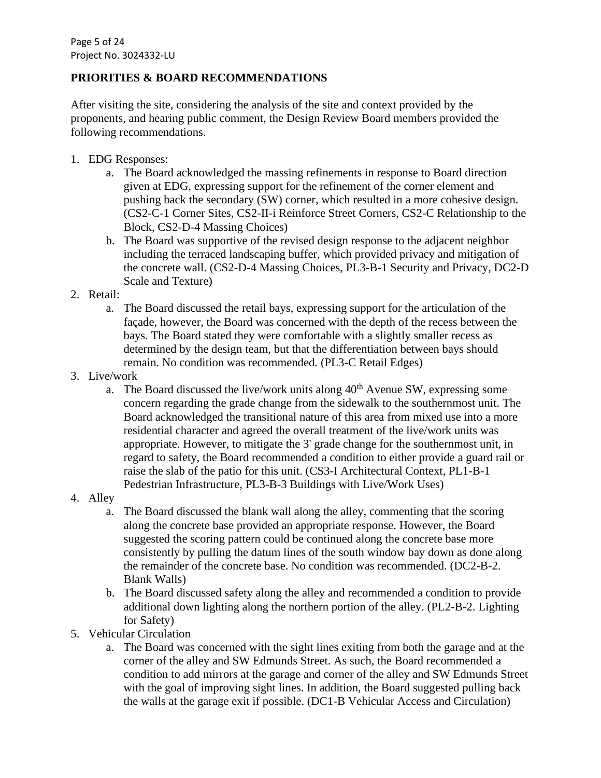### **PRIORITIES & BOARD RECOMMENDATIONS**

After visiting the site, considering the analysis of the site and context provided by the proponents, and hearing public comment, the Design Review Board members provided the following recommendations.

- 1. EDG Responses:
	- a. The Board acknowledged the massing refinements in response to Board direction given at EDG, expressing support for the refinement of the corner element and pushing back the secondary (SW) corner, which resulted in a more cohesive design. (CS2-C-1 Corner Sites, CS2-II-i Reinforce Street Corners, CS2-C Relationship to the Block, CS2-D-4 Massing Choices)
	- b. The Board was supportive of the revised design response to the adjacent neighbor including the terraced landscaping buffer, which provided privacy and mitigation of the concrete wall. (CS2-D-4 Massing Choices, PL3-B-1 Security and Privacy, DC2-D Scale and Texture)
- 2. Retail:
	- a. The Board discussed the retail bays, expressing support for the articulation of the façade, however, the Board was concerned with the depth of the recess between the bays. The Board stated they were comfortable with a slightly smaller recess as determined by the design team, but that the differentiation between bays should remain. No condition was recommended. (PL3-C Retail Edges)
- 3. Live/work
	- a. The Board discussed the live/work units along  $40<sup>th</sup>$  Avenue SW, expressing some concern regarding the grade change from the sidewalk to the southernmost unit. The Board acknowledged the transitional nature of this area from mixed use into a more residential character and agreed the overall treatment of the live/work units was appropriate. However, to mitigate the 3' grade change for the southernmost unit, in regard to safety, the Board recommended a condition to either provide a guard rail or raise the slab of the patio for this unit. (CS3-I Architectural Context, PL1-B-1 Pedestrian Infrastructure, PL3-B-3 Buildings with Live/Work Uses)
- 4. Alley
	- a. The Board discussed the blank wall along the alley, commenting that the scoring along the concrete base provided an appropriate response. However, the Board suggested the scoring pattern could be continued along the concrete base more consistently by pulling the datum lines of the south window bay down as done along the remainder of the concrete base. No condition was recommended. (DC2-B-2. Blank Walls)
	- b. The Board discussed safety along the alley and recommended a condition to provide additional down lighting along the northern portion of the alley. (PL2-B-2. Lighting for Safety)
- 5. Vehicular Circulation
	- a. The Board was concerned with the sight lines exiting from both the garage and at the corner of the alley and SW Edmunds Street. As such, the Board recommended a condition to add mirrors at the garage and corner of the alley and SW Edmunds Street with the goal of improving sight lines. In addition, the Board suggested pulling back the walls at the garage exit if possible. (DC1-B Vehicular Access and Circulation)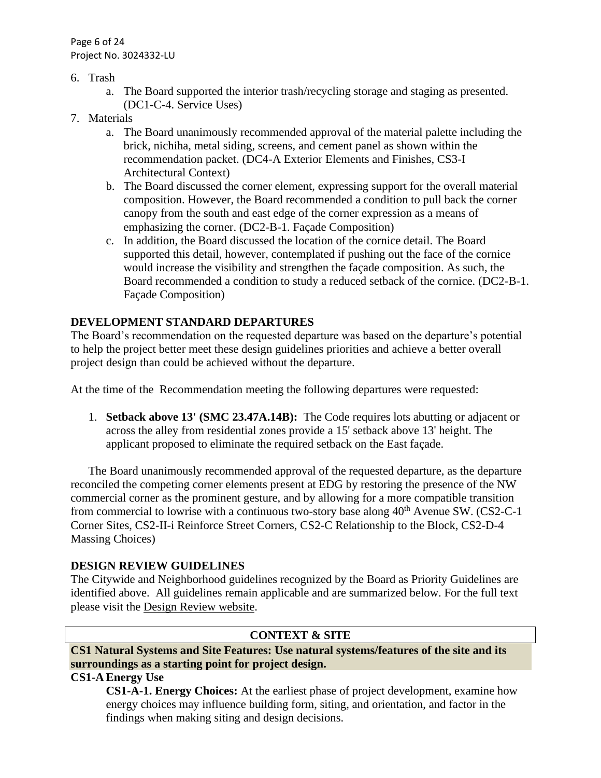Page 6 of 24 Project No. 3024332-LU

- 6. Trash
	- a. The Board supported the interior trash/recycling storage and staging as presented. (DC1-C-4. Service Uses)
- 7. Materials
	- a. The Board unanimously recommended approval of the material palette including the brick, nichiha, metal siding, screens, and cement panel as shown within the recommendation packet. (DC4-A Exterior Elements and Finishes, CS3-I Architectural Context)
	- b. The Board discussed the corner element, expressing support for the overall material composition. However, the Board recommended a condition to pull back the corner canopy from the south and east edge of the corner expression as a means of emphasizing the corner. (DC2-B-1. Façade Composition)
	- c. In addition, the Board discussed the location of the cornice detail. The Board supported this detail, however, contemplated if pushing out the face of the cornice would increase the visibility and strengthen the façade composition. As such, the Board recommended a condition to study a reduced setback of the cornice. (DC2-B-1. Façade Composition)

### **DEVELOPMENT STANDARD DEPARTURES**

The Board's recommendation on the requested departure was based on the departure's potential to help the project better meet these design guidelines priorities and achieve a better overall project design than could be achieved without the departure.

At the time of the Recommendation meeting the following departures were requested:

1. **Setback above 13' (SMC 23.47A.14B):** The Code requires lots abutting or adjacent or across the alley from residential zones provide a 15' setback above 13' height. The applicant proposed to eliminate the required setback on the East façade.

The Board unanimously recommended approval of the requested departure, as the departure reconciled the competing corner elements present at EDG by restoring the presence of the NW commercial corner as the prominent gesture, and by allowing for a more compatible transition from commercial to lowrise with a continuous two-story base along  $40<sup>th</sup>$  Avenue SW. (CS2-C-1) Corner Sites, CS2-II-i Reinforce Street Corners, CS2-C Relationship to the Block, CS2-D-4 Massing Choices)

### **DESIGN REVIEW GUIDELINES**

The Citywide and Neighborhood guidelines recognized by the Board as Priority Guidelines are identified above. All guidelines remain applicable and are summarized below. For the full text please visit the [Design Review website.](https://www.seattle.gov/dpd/aboutus/whoweare/designreview/designguidelines/default.htm)

### **CONTEXT & SITE**

### **CS1 Natural Systems and Site Features: Use natural systems/features of the site and its surroundings as a starting point for project design.**

### **CS1-A Energy Use**

**CS1-A-1. Energy Choices:** At the earliest phase of project development, examine how energy choices may influence building form, siting, and orientation, and factor in the findings when making siting and design decisions.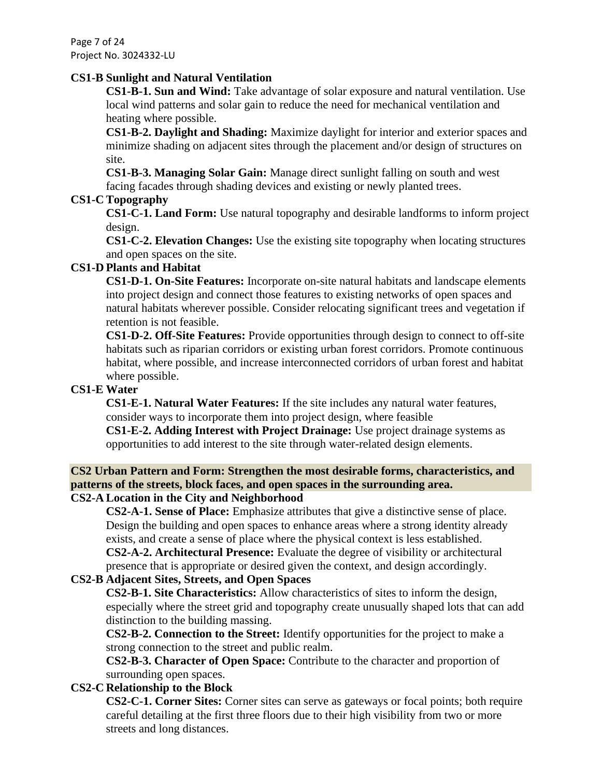Page 7 of 24 Project No. 3024332-LU

### **CS1-B Sunlight and Natural Ventilation**

**CS1-B-1. Sun and Wind:** Take advantage of solar exposure and natural ventilation. Use local wind patterns and solar gain to reduce the need for mechanical ventilation and heating where possible.

**CS1-B-2. Daylight and Shading:** Maximize daylight for interior and exterior spaces and minimize shading on adjacent sites through the placement and/or design of structures on site.

**CS1-B-3. Managing Solar Gain:** Manage direct sunlight falling on south and west facing facades through shading devices and existing or newly planted trees.

### **CS1-C Topography**

**CS1-C-1. Land Form:** Use natural topography and desirable landforms to inform project design.

**CS1-C-2. Elevation Changes:** Use the existing site topography when locating structures and open spaces on the site.

### **CS1-D Plants and Habitat**

**CS1-D-1. On-Site Features:** Incorporate on-site natural habitats and landscape elements into project design and connect those features to existing networks of open spaces and natural habitats wherever possible. Consider relocating significant trees and vegetation if retention is not feasible.

**CS1-D-2. Off-Site Features:** Provide opportunities through design to connect to off-site habitats such as riparian corridors or existing urban forest corridors. Promote continuous habitat, where possible, and increase interconnected corridors of urban forest and habitat where possible.

### **CS1-E Water**

**CS1-E-1. Natural Water Features:** If the site includes any natural water features, consider ways to incorporate them into project design, where feasible

**CS1-E-2. Adding Interest with Project Drainage:** Use project drainage systems as opportunities to add interest to the site through water-related design elements.

# **CS2 Urban Pattern and Form: Strengthen the most desirable forms, characteristics, and patterns of the streets, block faces, and open spaces in the surrounding area.**

### **CS2-A Location in the City and Neighborhood**

**CS2-A-1. Sense of Place:** Emphasize attributes that give a distinctive sense of place. Design the building and open spaces to enhance areas where a strong identity already exists, and create a sense of place where the physical context is less established. **CS2-A-2. Architectural Presence:** Evaluate the degree of visibility or architectural presence that is appropriate or desired given the context, and design accordingly.

### **CS2-B Adjacent Sites, Streets, and Open Spaces**

**CS2-B-1. Site Characteristics:** Allow characteristics of sites to inform the design, especially where the street grid and topography create unusually shaped lots that can add distinction to the building massing.

**CS2-B-2. Connection to the Street:** Identify opportunities for the project to make a strong connection to the street and public realm.

**CS2-B-3. Character of Open Space:** Contribute to the character and proportion of surrounding open spaces.

### **CS2-C Relationship to the Block**

**CS2-C-1. Corner Sites:** Corner sites can serve as gateways or focal points; both require careful detailing at the first three floors due to their high visibility from two or more streets and long distances.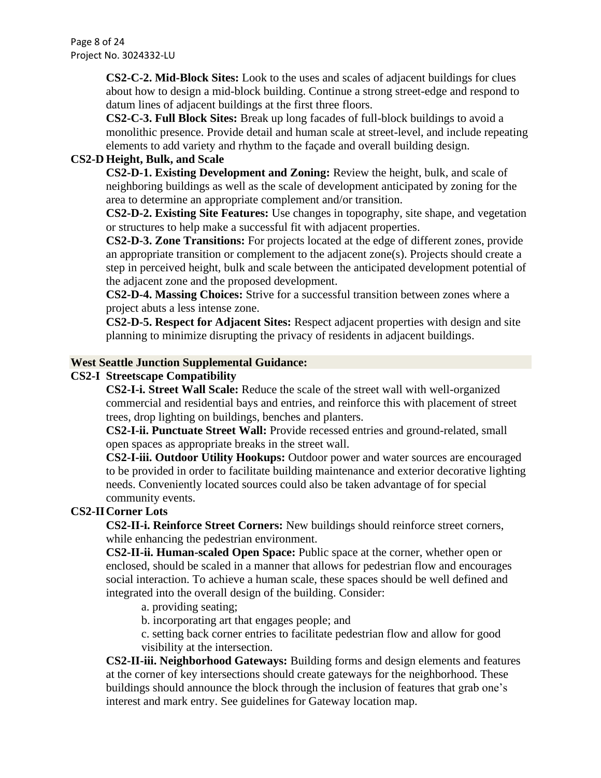Page 8 of 24 Project No. 3024332-LU

> **CS2-C-2. Mid-Block Sites:** Look to the uses and scales of adjacent buildings for clues about how to design a mid-block building. Continue a strong street-edge and respond to datum lines of adjacent buildings at the first three floors.

**CS2-C-3. Full Block Sites:** Break up long facades of full-block buildings to avoid a monolithic presence. Provide detail and human scale at street-level, and include repeating elements to add variety and rhythm to the façade and overall building design.

### **CS2-D Height, Bulk, and Scale**

**CS2-D-1. Existing Development and Zoning:** Review the height, bulk, and scale of neighboring buildings as well as the scale of development anticipated by zoning for the area to determine an appropriate complement and/or transition.

**CS2-D-2. Existing Site Features:** Use changes in topography, site shape, and vegetation or structures to help make a successful fit with adjacent properties.

**CS2-D-3. Zone Transitions:** For projects located at the edge of different zones, provide an appropriate transition or complement to the adjacent zone(s). Projects should create a step in perceived height, bulk and scale between the anticipated development potential of the adjacent zone and the proposed development.

**CS2-D-4. Massing Choices:** Strive for a successful transition between zones where a project abuts a less intense zone.

**CS2-D-5. Respect for Adjacent Sites:** Respect adjacent properties with design and site planning to minimize disrupting the privacy of residents in adjacent buildings.

### **West Seattle Junction Supplemental Guidance:**

#### **CS2-I Streetscape Compatibility**

**CS2-I-i. Street Wall Scale:** Reduce the scale of the street wall with well-organized commercial and residential bays and entries, and reinforce this with placement of street trees, drop lighting on buildings, benches and planters.

**CS2-I-ii. Punctuate Street Wall:** Provide recessed entries and ground-related, small open spaces as appropriate breaks in the street wall.

**CS2-I-iii. Outdoor Utility Hookups:** Outdoor power and water sources are encouraged to be provided in order to facilitate building maintenance and exterior decorative lighting needs. Conveniently located sources could also be taken advantage of for special community events.

### **CS2-IICorner Lots**

**CS2-II-i. Reinforce Street Corners:** New buildings should reinforce street corners, while enhancing the pedestrian environment.

**CS2-II-ii. Human-scaled Open Space:** Public space at the corner, whether open or enclosed, should be scaled in a manner that allows for pedestrian flow and encourages social interaction. To achieve a human scale, these spaces should be well defined and integrated into the overall design of the building. Consider:

a. providing seating;

b. incorporating art that engages people; and

c. setting back corner entries to facilitate pedestrian flow and allow for good

visibility at the intersection.

**CS2-II-iii. Neighborhood Gateways:** Building forms and design elements and features at the corner of key intersections should create gateways for the neighborhood. These buildings should announce the block through the inclusion of features that grab one's interest and mark entry. See guidelines for Gateway location map.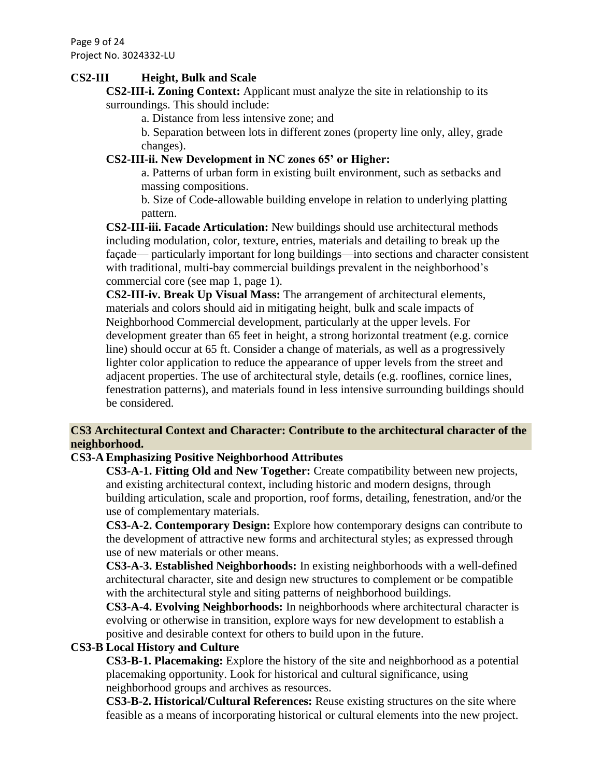Page 9 of 24 Project No. 3024332-LU

### **CS2-III Height, Bulk and Scale**

**CS2-III-i. Zoning Context:** Applicant must analyze the site in relationship to its surroundings. This should include:

a. Distance from less intensive zone; and

b. Separation between lots in different zones (property line only, alley, grade changes).

### **CS2-III-ii. New Development in NC zones 65' or Higher:**

a. Patterns of urban form in existing built environment, such as setbacks and massing compositions.

b. Size of Code-allowable building envelope in relation to underlying platting pattern.

**CS2-III-iii. Facade Articulation:** New buildings should use architectural methods including modulation, color, texture, entries, materials and detailing to break up the façade— particularly important for long buildings—into sections and character consistent with traditional, multi-bay commercial buildings prevalent in the neighborhood's commercial core (see map 1, page 1).

**CS2-III-iv. Break Up Visual Mass:** The arrangement of architectural elements, materials and colors should aid in mitigating height, bulk and scale impacts of Neighborhood Commercial development, particularly at the upper levels. For development greater than 65 feet in height, a strong horizontal treatment (e.g. cornice line) should occur at 65 ft. Consider a change of materials, as well as a progressively lighter color application to reduce the appearance of upper levels from the street and adjacent properties. The use of architectural style, details (e.g. rooflines, cornice lines, fenestration patterns), and materials found in less intensive surrounding buildings should be considered.

### **CS3 Architectural Context and Character: Contribute to the architectural character of the neighborhood.**

### **CS3-A Emphasizing Positive Neighborhood Attributes**

**CS3-A-1. Fitting Old and New Together:** Create compatibility between new projects, and existing architectural context, including historic and modern designs, through building articulation, scale and proportion, roof forms, detailing, fenestration, and/or the use of complementary materials.

**CS3-A-2. Contemporary Design:** Explore how contemporary designs can contribute to the development of attractive new forms and architectural styles; as expressed through use of new materials or other means.

**CS3-A-3. Established Neighborhoods:** In existing neighborhoods with a well-defined architectural character, site and design new structures to complement or be compatible with the architectural style and siting patterns of neighborhood buildings.

**CS3-A-4. Evolving Neighborhoods:** In neighborhoods where architectural character is evolving or otherwise in transition, explore ways for new development to establish a positive and desirable context for others to build upon in the future.

### **CS3-B Local History and Culture**

**CS3-B-1. Placemaking:** Explore the history of the site and neighborhood as a potential placemaking opportunity. Look for historical and cultural significance, using neighborhood groups and archives as resources.

**CS3-B-2. Historical/Cultural References:** Reuse existing structures on the site where feasible as a means of incorporating historical or cultural elements into the new project.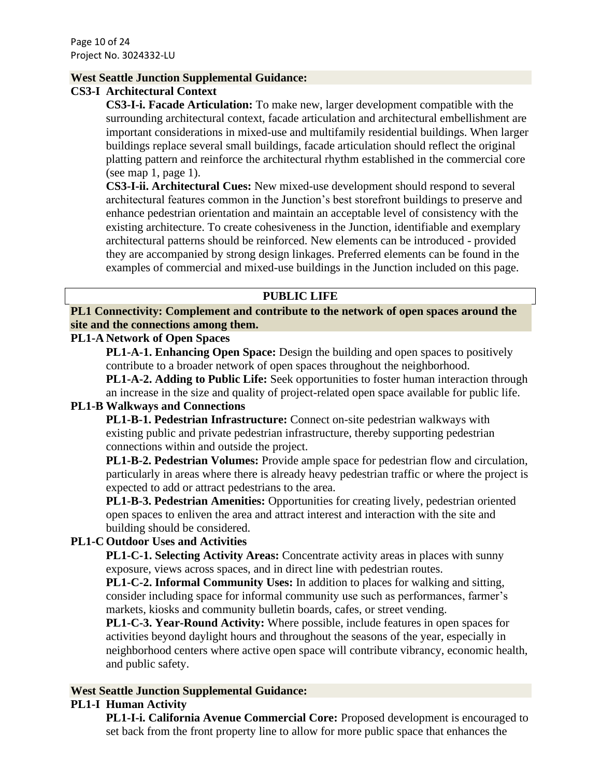#### **West Seattle Junction Supplemental Guidance:**

#### **CS3-I Architectural Context**

**CS3-I-i. Facade Articulation:** To make new, larger development compatible with the surrounding architectural context, facade articulation and architectural embellishment are important considerations in mixed-use and multifamily residential buildings. When larger buildings replace several small buildings, facade articulation should reflect the original platting pattern and reinforce the architectural rhythm established in the commercial core (see map 1, page 1).

**CS3-I-ii. Architectural Cues:** New mixed-use development should respond to several architectural features common in the Junction's best storefront buildings to preserve and enhance pedestrian orientation and maintain an acceptable level of consistency with the existing architecture. To create cohesiveness in the Junction, identifiable and exemplary architectural patterns should be reinforced. New elements can be introduced - provided they are accompanied by strong design linkages. Preferred elements can be found in the examples of commercial and mixed-use buildings in the Junction included on this page.

### **PUBLIC LIFE**

### **PL1 Connectivity: Complement and contribute to the network of open spaces around the site and the connections among them.**

### **PL1-A Network of Open Spaces**

**PL1-A-1. Enhancing Open Space:** Design the building and open spaces to positively contribute to a broader network of open spaces throughout the neighborhood.

**PL1-A-2. Adding to Public Life:** Seek opportunities to foster human interaction through an increase in the size and quality of project-related open space available for public life.

### **PL1-B Walkways and Connections**

**PL1-B-1. Pedestrian Infrastructure:** Connect on-site pedestrian walkways with existing public and private pedestrian infrastructure, thereby supporting pedestrian connections within and outside the project.

**PL1-B-2. Pedestrian Volumes:** Provide ample space for pedestrian flow and circulation, particularly in areas where there is already heavy pedestrian traffic or where the project is expected to add or attract pedestrians to the area.

**PL1-B-3. Pedestrian Amenities:** Opportunities for creating lively, pedestrian oriented open spaces to enliven the area and attract interest and interaction with the site and building should be considered.

### **PL1-C Outdoor Uses and Activities**

**PL1-C-1. Selecting Activity Areas:** Concentrate activity areas in places with sunny exposure, views across spaces, and in direct line with pedestrian routes.

**PL1-C-2. Informal Community Uses:** In addition to places for walking and sitting, consider including space for informal community use such as performances, farmer's markets, kiosks and community bulletin boards, cafes, or street vending.

**PL1-C-3. Year-Round Activity:** Where possible, include features in open spaces for activities beyond daylight hours and throughout the seasons of the year, especially in neighborhood centers where active open space will contribute vibrancy, economic health, and public safety.

### **West Seattle Junction Supplemental Guidance:**

#### **PL1-I Human Activity**

**PL1-I-i. California Avenue Commercial Core:** Proposed development is encouraged to set back from the front property line to allow for more public space that enhances the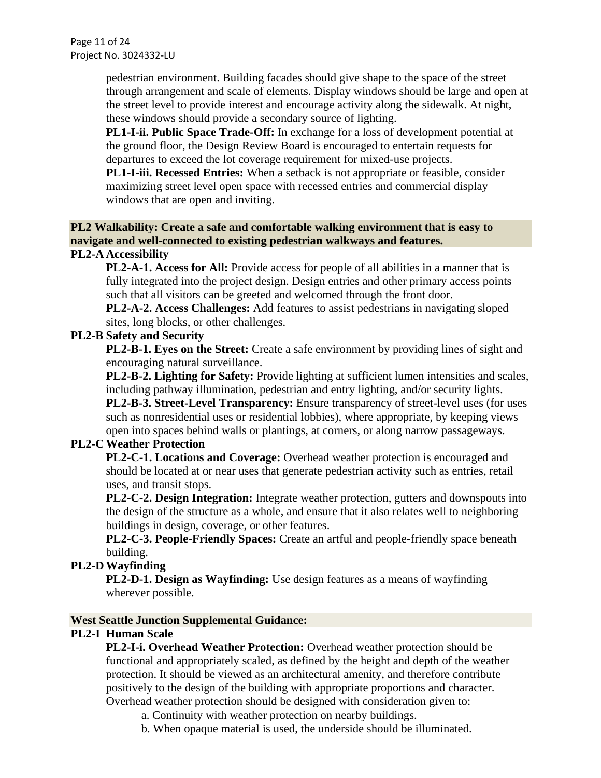pedestrian environment. Building facades should give shape to the space of the street through arrangement and scale of elements. Display windows should be large and open at the street level to provide interest and encourage activity along the sidewalk. At night, these windows should provide a secondary source of lighting.

**PL1-I-ii. Public Space Trade-Off:** In exchange for a loss of development potential at the ground floor, the Design Review Board is encouraged to entertain requests for departures to exceed the lot coverage requirement for mixed-use projects.

**PL1-I-iii. Recessed Entries:** When a setback is not appropriate or feasible, consider maximizing street level open space with recessed entries and commercial display windows that are open and inviting.

### **PL2 Walkability: Create a safe and comfortable walking environment that is easy to navigate and well-connected to existing pedestrian walkways and features. PL2-A Accessibility**

**PL2-A-1. Access for All:** Provide access for people of all abilities in a manner that is fully integrated into the project design. Design entries and other primary access points such that all visitors can be greeted and welcomed through the front door.

**PL2-A-2. Access Challenges:** Add features to assist pedestrians in navigating sloped sites, long blocks, or other challenges.

### **PL2-B Safety and Security**

**PL2-B-1. Eyes on the Street:** Create a safe environment by providing lines of sight and encouraging natural surveillance.

**PL2-B-2. Lighting for Safety:** Provide lighting at sufficient lumen intensities and scales, including pathway illumination, pedestrian and entry lighting, and/or security lights. **PL2-B-3. Street-Level Transparency:** Ensure transparency of street-level uses (for uses such as nonresidential uses or residential lobbies), where appropriate, by keeping views open into spaces behind walls or plantings, at corners, or along narrow passageways.

### **PL2-C Weather Protection**

**PL2-C-1. Locations and Coverage:** Overhead weather protection is encouraged and should be located at or near uses that generate pedestrian activity such as entries, retail uses, and transit stops.

**PL2-C-2. Design Integration:** Integrate weather protection, gutters and downspouts into the design of the structure as a whole, and ensure that it also relates well to neighboring buildings in design, coverage, or other features.

**PL2-C-3. People-Friendly Spaces:** Create an artful and people-friendly space beneath building.

### **PL2-D Wayfinding**

**PL2-D-1. Design as Wayfinding:** Use design features as a means of wayfinding wherever possible.

### **West Seattle Junction Supplemental Guidance:**

### **PL2-I Human Scale**

**PL2-I-i. Overhead Weather Protection:** Overhead weather protection should be functional and appropriately scaled, as defined by the height and depth of the weather protection. It should be viewed as an architectural amenity, and therefore contribute positively to the design of the building with appropriate proportions and character. Overhead weather protection should be designed with consideration given to:

a. Continuity with weather protection on nearby buildings.

b. When opaque material is used, the underside should be illuminated.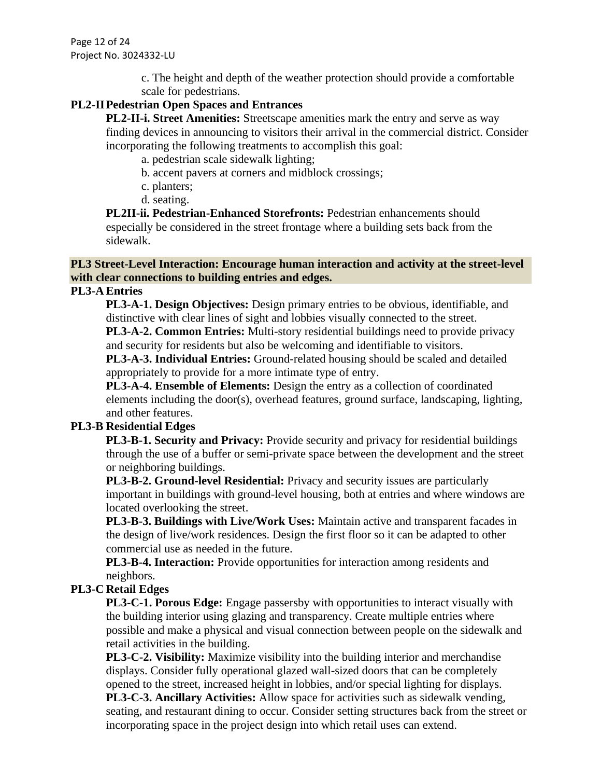Page 12 of 24 Project No. 3024332-LU

> c. The height and depth of the weather protection should provide a comfortable scale for pedestrians.

### **PL2-IIPedestrian Open Spaces and Entrances**

**PL2-II-i. Street Amenities:** Streetscape amenities mark the entry and serve as way finding devices in announcing to visitors their arrival in the commercial district. Consider incorporating the following treatments to accomplish this goal:

a. pedestrian scale sidewalk lighting;

- b. accent pavers at corners and midblock crossings;
- c. planters;
- d. seating.

**PL2II-ii. Pedestrian-Enhanced Storefronts:** Pedestrian enhancements should especially be considered in the street frontage where a building sets back from the sidewalk.

### **PL3 Street-Level Interaction: Encourage human interaction and activity at the street-level with clear connections to building entries and edges.**

### **PL3-A Entries**

**PL3-A-1. Design Objectives:** Design primary entries to be obvious, identifiable, and distinctive with clear lines of sight and lobbies visually connected to the street.

**PL3-A-2. Common Entries:** Multi-story residential buildings need to provide privacy and security for residents but also be welcoming and identifiable to visitors.

**PL3-A-3. Individual Entries:** Ground-related housing should be scaled and detailed appropriately to provide for a more intimate type of entry.

**PL3-A-4. Ensemble of Elements:** Design the entry as a collection of coordinated elements including the door(s), overhead features, ground surface, landscaping, lighting, and other features.

### **PL3-B Residential Edges**

**PL3-B-1. Security and Privacy:** Provide security and privacy for residential buildings through the use of a buffer or semi-private space between the development and the street or neighboring buildings.

**PL3-B-2. Ground-level Residential:** Privacy and security issues are particularly important in buildings with ground-level housing, both at entries and where windows are located overlooking the street.

**PL3-B-3. Buildings with Live/Work Uses:** Maintain active and transparent facades in the design of live/work residences. Design the first floor so it can be adapted to other commercial use as needed in the future.

**PL3-B-4. Interaction:** Provide opportunities for interaction among residents and neighbors.

### **PL3-C Retail Edges**

**PL3-C-1. Porous Edge:** Engage passersby with opportunities to interact visually with the building interior using glazing and transparency. Create multiple entries where possible and make a physical and visual connection between people on the sidewalk and retail activities in the building.

**PL3-C-2. Visibility:** Maximize visibility into the building interior and merchandise displays. Consider fully operational glazed wall-sized doors that can be completely opened to the street, increased height in lobbies, and/or special lighting for displays.

**PL3-C-3. Ancillary Activities:** Allow space for activities such as sidewalk vending, seating, and restaurant dining to occur. Consider setting structures back from the street or incorporating space in the project design into which retail uses can extend.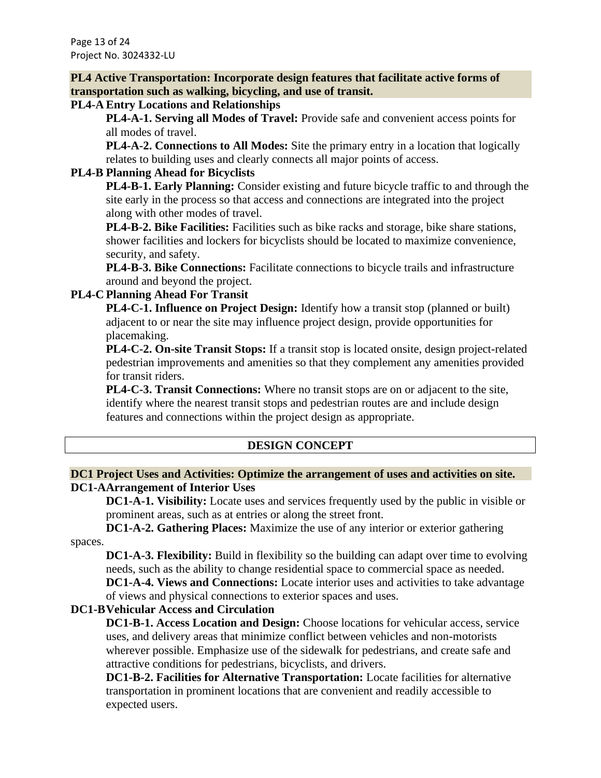Page 13 of 24 Project No. 3024332-LU

**PL4 Active Transportation: Incorporate design features that facilitate active forms of transportation such as walking, bicycling, and use of transit.**

#### **PL4-A Entry Locations and Relationships**

**PL4-A-1. Serving all Modes of Travel:** Provide safe and convenient access points for all modes of travel.

**PL4-A-2. Connections to All Modes:** Site the primary entry in a location that logically relates to building uses and clearly connects all major points of access.

### **PL4-B Planning Ahead for Bicyclists**

**PL4-B-1. Early Planning:** Consider existing and future bicycle traffic to and through the site early in the process so that access and connections are integrated into the project along with other modes of travel.

**PL4-B-2. Bike Facilities:** Facilities such as bike racks and storage, bike share stations, shower facilities and lockers for bicyclists should be located to maximize convenience, security, and safety.

**PL4-B-3. Bike Connections:** Facilitate connections to bicycle trails and infrastructure around and beyond the project.

### **PL4-C Planning Ahead For Transit**

**PL4-C-1. Influence on Project Design:** Identify how a transit stop (planned or built) adjacent to or near the site may influence project design, provide opportunities for placemaking.

**PL4-C-2. On-site Transit Stops:** If a transit stop is located onsite, design project-related pedestrian improvements and amenities so that they complement any amenities provided for transit riders.

**PL4-C-3. Transit Connections:** Where no transit stops are on or adjacent to the site, identify where the nearest transit stops and pedestrian routes are and include design features and connections within the project design as appropriate.

### **DESIGN CONCEPT**

### **DC1 Project Uses and Activities: Optimize the arrangement of uses and activities on site. DC1-AArrangement of Interior Uses**

**DC1-A-1. Visibility:** Locate uses and services frequently used by the public in visible or prominent areas, such as at entries or along the street front.

**DC1-A-2. Gathering Places:** Maximize the use of any interior or exterior gathering

spaces.

**DC1-A-3. Flexibility:** Build in flexibility so the building can adapt over time to evolving needs, such as the ability to change residential space to commercial space as needed.

**DC1-A-4. Views and Connections:** Locate interior uses and activities to take advantage of views and physical connections to exterior spaces and uses.

### **DC1-BVehicular Access and Circulation**

**DC1-B-1. Access Location and Design:** Choose locations for vehicular access, service uses, and delivery areas that minimize conflict between vehicles and non-motorists wherever possible. Emphasize use of the sidewalk for pedestrians, and create safe and attractive conditions for pedestrians, bicyclists, and drivers.

**DC1-B-2. Facilities for Alternative Transportation:** Locate facilities for alternative transportation in prominent locations that are convenient and readily accessible to expected users.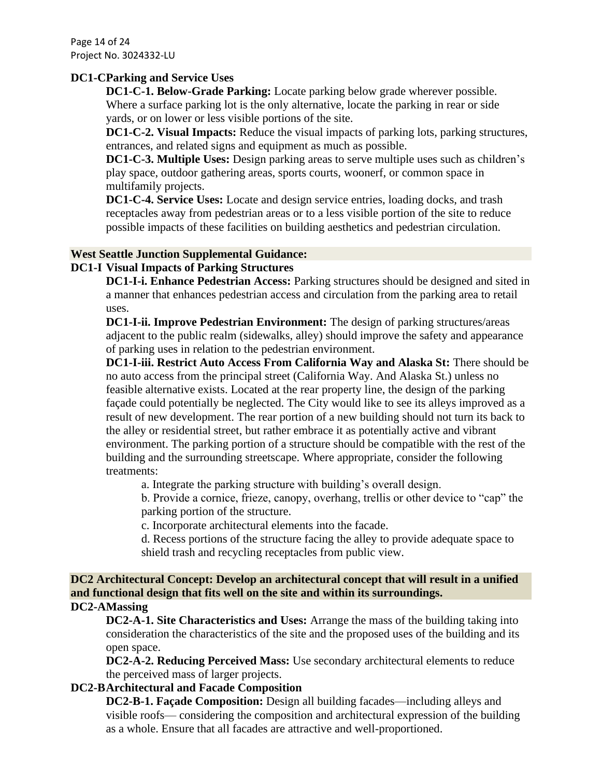Page 14 of 24 Project No. 3024332-LU

#### **DC1-CParking and Service Uses**

**DC1-C-1. Below-Grade Parking:** Locate parking below grade wherever possible. Where a surface parking lot is the only alternative, locate the parking in rear or side yards, or on lower or less visible portions of the site.

**DC1-C-2. Visual Impacts:** Reduce the visual impacts of parking lots, parking structures, entrances, and related signs and equipment as much as possible.

**DC1-C-3. Multiple Uses:** Design parking areas to serve multiple uses such as children's play space, outdoor gathering areas, sports courts, woonerf, or common space in multifamily projects.

**DC1-C-4. Service Uses:** Locate and design service entries, loading docks, and trash receptacles away from pedestrian areas or to a less visible portion of the site to reduce possible impacts of these facilities on building aesthetics and pedestrian circulation.

#### **West Seattle Junction Supplemental Guidance:**

### **DC1-I Visual Impacts of Parking Structures**

**DC1-I-i. Enhance Pedestrian Access:** Parking structures should be designed and sited in a manner that enhances pedestrian access and circulation from the parking area to retail uses.

**DC1-I-ii. Improve Pedestrian Environment:** The design of parking structures/areas adjacent to the public realm (sidewalks, alley) should improve the safety and appearance of parking uses in relation to the pedestrian environment.

**DC1-I-iii. Restrict Auto Access From California Way and Alaska St:** There should be no auto access from the principal street (California Way. And Alaska St.) unless no feasible alternative exists. Located at the rear property line, the design of the parking façade could potentially be neglected. The City would like to see its alleys improved as a result of new development. The rear portion of a new building should not turn its back to the alley or residential street, but rather embrace it as potentially active and vibrant environment. The parking portion of a structure should be compatible with the rest of the building and the surrounding streetscape. Where appropriate, consider the following treatments:

a. Integrate the parking structure with building's overall design.

b. Provide a cornice, frieze, canopy, overhang, trellis or other device to "cap" the parking portion of the structure.

c. Incorporate architectural elements into the facade.

d. Recess portions of the structure facing the alley to provide adequate space to shield trash and recycling receptacles from public view.

#### **DC2 Architectural Concept: Develop an architectural concept that will result in a unified and functional design that fits well on the site and within its surroundings. DC2-AMassing**

**DC2-A-1. Site Characteristics and Uses:** Arrange the mass of the building taking into consideration the characteristics of the site and the proposed uses of the building and its open space.

**DC2-A-2. Reducing Perceived Mass:** Use secondary architectural elements to reduce the perceived mass of larger projects.

### **DC2-BArchitectural and Facade Composition**

**DC2-B-1. Façade Composition:** Design all building facades—including alleys and visible roofs— considering the composition and architectural expression of the building as a whole. Ensure that all facades are attractive and well-proportioned.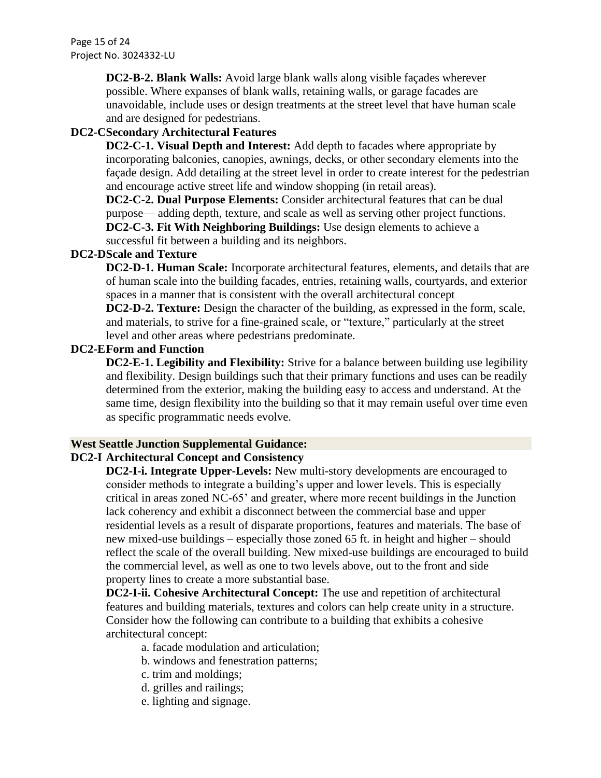Page 15 of 24 Project No. 3024332-LU

> **DC2-B-2. Blank Walls:** Avoid large blank walls along visible façades wherever possible. Where expanses of blank walls, retaining walls, or garage facades are unavoidable, include uses or design treatments at the street level that have human scale and are designed for pedestrians.

### **DC2-CSecondary Architectural Features**

**DC2-C-1. Visual Depth and Interest:** Add depth to facades where appropriate by incorporating balconies, canopies, awnings, decks, or other secondary elements into the façade design. Add detailing at the street level in order to create interest for the pedestrian and encourage active street life and window shopping (in retail areas).

**DC2-C-2. Dual Purpose Elements:** Consider architectural features that can be dual purpose— adding depth, texture, and scale as well as serving other project functions. **DC2-C-3. Fit With Neighboring Buildings:** Use design elements to achieve a

successful fit between a building and its neighbors.

### **DC2-DScale and Texture**

**DC2-D-1. Human Scale:** Incorporate architectural features, elements, and details that are of human scale into the building facades, entries, retaining walls, courtyards, and exterior spaces in a manner that is consistent with the overall architectural concept

**DC2-D-2. Texture:** Design the character of the building, as expressed in the form, scale, and materials, to strive for a fine-grained scale, or "texture," particularly at the street level and other areas where pedestrians predominate.

#### **DC2-EForm and Function**

**DC2-E-1. Legibility and Flexibility:** Strive for a balance between building use legibility and flexibility. Design buildings such that their primary functions and uses can be readily determined from the exterior, making the building easy to access and understand. At the same time, design flexibility into the building so that it may remain useful over time even as specific programmatic needs evolve.

#### **West Seattle Junction Supplemental Guidance:**

### **DC2-I Architectural Concept and Consistency**

**DC2-I-i. Integrate Upper-Levels:** New multi-story developments are encouraged to consider methods to integrate a building's upper and lower levels. This is especially critical in areas zoned NC-65' and greater, where more recent buildings in the Junction lack coherency and exhibit a disconnect between the commercial base and upper residential levels as a result of disparate proportions, features and materials. The base of new mixed-use buildings – especially those zoned 65 ft. in height and higher – should reflect the scale of the overall building. New mixed-use buildings are encouraged to build the commercial level, as well as one to two levels above, out to the front and side property lines to create a more substantial base.

**DC2-I-ii. Cohesive Architectural Concept:** The use and repetition of architectural features and building materials, textures and colors can help create unity in a structure. Consider how the following can contribute to a building that exhibits a cohesive architectural concept:

- a. facade modulation and articulation;
- b. windows and fenestration patterns;
- c. trim and moldings;
- d. grilles and railings;
- e. lighting and signage.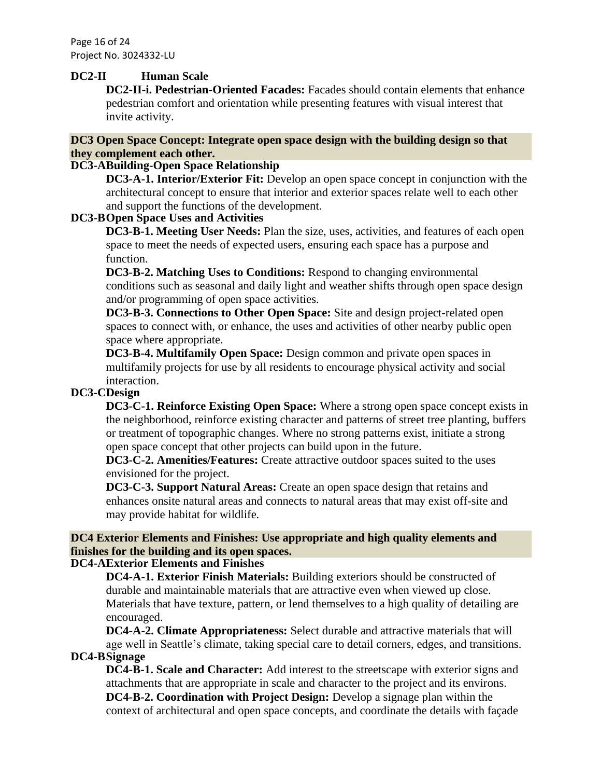Page 16 of 24 Project No. 3024332-LU

#### **DC2-II Human Scale**

**DC2-II-i. Pedestrian-Oriented Facades:** Facades should contain elements that enhance pedestrian comfort and orientation while presenting features with visual interest that invite activity.

### **DC3 Open Space Concept: Integrate open space design with the building design so that they complement each other.**

### **DC3-ABuilding-Open Space Relationship**

**DC3-A-1. Interior/Exterior Fit:** Develop an open space concept in conjunction with the architectural concept to ensure that interior and exterior spaces relate well to each other and support the functions of the development.

### **DC3-BOpen Space Uses and Activities**

**DC3-B-1. Meeting User Needs:** Plan the size, uses, activities, and features of each open space to meet the needs of expected users, ensuring each space has a purpose and function.

**DC3-B-2. Matching Uses to Conditions:** Respond to changing environmental conditions such as seasonal and daily light and weather shifts through open space design and/or programming of open space activities.

**DC3-B-3. Connections to Other Open Space:** Site and design project-related open spaces to connect with, or enhance, the uses and activities of other nearby public open space where appropriate.

**DC3-B-4. Multifamily Open Space:** Design common and private open spaces in multifamily projects for use by all residents to encourage physical activity and social interaction.

### **DC3-CDesign**

**DC3-C-1. Reinforce Existing Open Space:** Where a strong open space concept exists in the neighborhood, reinforce existing character and patterns of street tree planting, buffers or treatment of topographic changes. Where no strong patterns exist, initiate a strong open space concept that other projects can build upon in the future.

**DC3-C-2. Amenities/Features:** Create attractive outdoor spaces suited to the uses envisioned for the project.

**DC3-C-3. Support Natural Areas:** Create an open space design that retains and enhances onsite natural areas and connects to natural areas that may exist off-site and may provide habitat for wildlife.

# **DC4 Exterior Elements and Finishes: Use appropriate and high quality elements and finishes for the building and its open spaces.**

### **DC4-AExterior Elements and Finishes**

**DC4-A-1. Exterior Finish Materials:** Building exteriors should be constructed of durable and maintainable materials that are attractive even when viewed up close. Materials that have texture, pattern, or lend themselves to a high quality of detailing are encouraged.

**DC4-A-2. Climate Appropriateness:** Select durable and attractive materials that will age well in Seattle's climate, taking special care to detail corners, edges, and transitions. **DC4-BSignage**

**DC4-B-1. Scale and Character:** Add interest to the streetscape with exterior signs and attachments that are appropriate in scale and character to the project and its environs. **DC4-B-2. Coordination with Project Design:** Develop a signage plan within the context of architectural and open space concepts, and coordinate the details with façade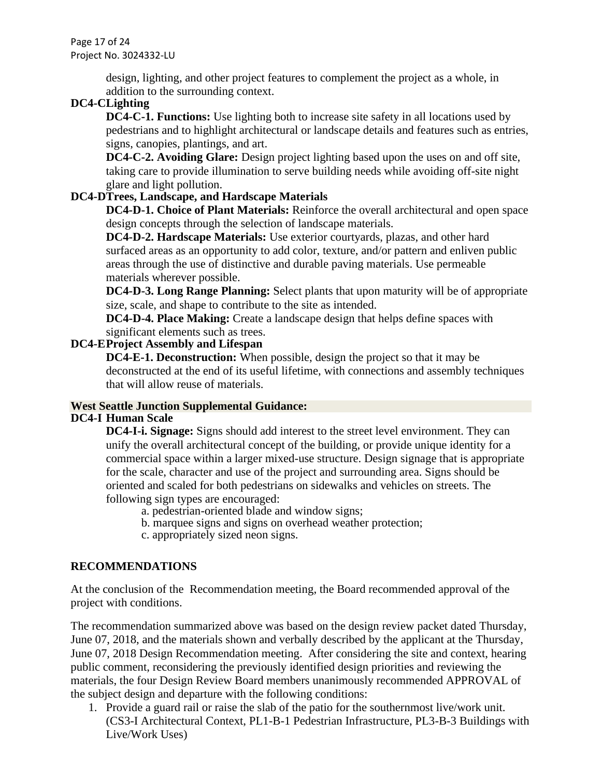Page 17 of 24 Project No. 3024332-LU

> design, lighting, and other project features to complement the project as a whole, in addition to the surrounding context.

### **DC4-CLighting**

**DC4-C-1. Functions:** Use lighting both to increase site safety in all locations used by pedestrians and to highlight architectural or landscape details and features such as entries, signs, canopies, plantings, and art.

**DC4-C-2. Avoiding Glare:** Design project lighting based upon the uses on and off site, taking care to provide illumination to serve building needs while avoiding off-site night glare and light pollution.

### **DC4-DTrees, Landscape, and Hardscape Materials**

**DC4-D-1. Choice of Plant Materials:** Reinforce the overall architectural and open space design concepts through the selection of landscape materials.

**DC4-D-2. Hardscape Materials:** Use exterior courtyards, plazas, and other hard surfaced areas as an opportunity to add color, texture, and/or pattern and enliven public areas through the use of distinctive and durable paving materials. Use permeable materials wherever possible.

**DC4-D-3. Long Range Planning:** Select plants that upon maturity will be of appropriate size, scale, and shape to contribute to the site as intended.

**DC4-D-4. Place Making:** Create a landscape design that helps define spaces with significant elements such as trees.

### **DC4-EProject Assembly and Lifespan**

**DC4-E-1. Deconstruction:** When possible, design the project so that it may be deconstructed at the end of its useful lifetime, with connections and assembly techniques that will allow reuse of materials.

# **West Seattle Junction Supplemental Guidance:**

### **DC4-I Human Scale**

**DC4-I-i. Signage:** Signs should add interest to the street level environment. They can unify the overall architectural concept of the building, or provide unique identity for a commercial space within a larger mixed-use structure. Design signage that is appropriate for the scale, character and use of the project and surrounding area. Signs should be oriented and scaled for both pedestrians on sidewalks and vehicles on streets. The following sign types are encouraged:

- a. pedestrian-oriented blade and window signs;
- b. marquee signs and signs on overhead weather protection;
- c. appropriately sized neon signs.

### **RECOMMENDATIONS**

At the conclusion of the Recommendation meeting, the Board recommended approval of the project with conditions.

The recommendation summarized above was based on the design review packet dated Thursday, June 07, 2018, and the materials shown and verbally described by the applicant at the Thursday, June 07, 2018 Design Recommendation meeting. After considering the site and context, hearing public comment, reconsidering the previously identified design priorities and reviewing the materials, the four Design Review Board members unanimously recommended APPROVAL of the subject design and departure with the following conditions:

1. Provide a guard rail or raise the slab of the patio for the southernmost live/work unit. (CS3-I Architectural Context, PL1-B-1 Pedestrian Infrastructure, PL3-B-3 Buildings with Live/Work Uses)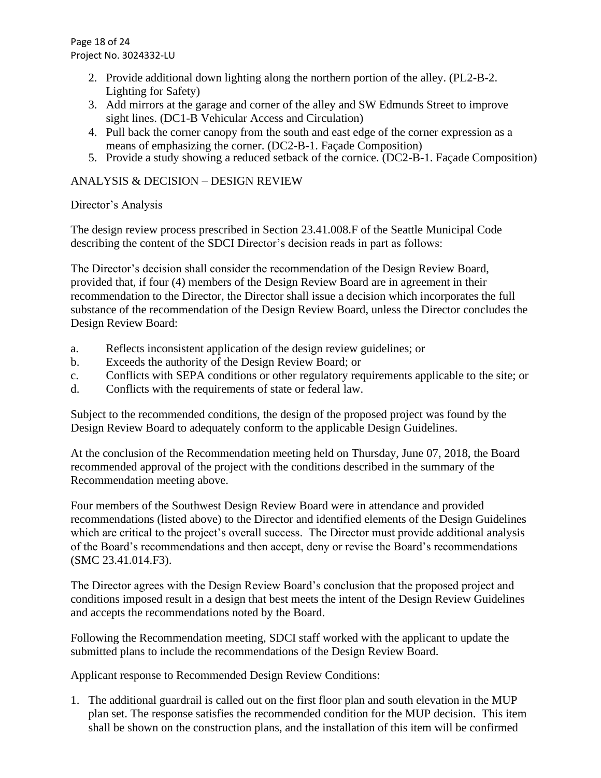Page 18 of 24 Project No. 3024332-LU

- 2. Provide additional down lighting along the northern portion of the alley. (PL2-B-2. Lighting for Safety)
- 3. Add mirrors at the garage and corner of the alley and SW Edmunds Street to improve sight lines. (DC1-B Vehicular Access and Circulation)
- 4. Pull back the corner canopy from the south and east edge of the corner expression as a means of emphasizing the corner. (DC2-B-1. Façade Composition)
- 5. Provide a study showing a reduced setback of the cornice. (DC2-B-1. Façade Composition)

### ANALYSIS & DECISION – DESIGN REVIEW

### Director's Analysis

The design review process prescribed in Section 23.41.008.F of the Seattle Municipal Code describing the content of the SDCI Director's decision reads in part as follows:

The Director's decision shall consider the recommendation of the Design Review Board, provided that, if four (4) members of the Design Review Board are in agreement in their recommendation to the Director, the Director shall issue a decision which incorporates the full substance of the recommendation of the Design Review Board, unless the Director concludes the Design Review Board:

- a. Reflects inconsistent application of the design review guidelines; or
- b. Exceeds the authority of the Design Review Board; or
- c. Conflicts with SEPA conditions or other regulatory requirements applicable to the site; or
- d. Conflicts with the requirements of state or federal law.

Subject to the recommended conditions, the design of the proposed project was found by the Design Review Board to adequately conform to the applicable Design Guidelines.

At the conclusion of the Recommendation meeting held on Thursday, June 07, 2018, the Board recommended approval of the project with the conditions described in the summary of the Recommendation meeting above.

Four members of the Southwest Design Review Board were in attendance and provided recommendations (listed above) to the Director and identified elements of the Design Guidelines which are critical to the project's overall success. The Director must provide additional analysis of the Board's recommendations and then accept, deny or revise the Board's recommendations (SMC 23.41.014.F3).

The Director agrees with the Design Review Board's conclusion that the proposed project and conditions imposed result in a design that best meets the intent of the Design Review Guidelines and accepts the recommendations noted by the Board.

Following the Recommendation meeting, SDCI staff worked with the applicant to update the submitted plans to include the recommendations of the Design Review Board.

Applicant response to Recommended Design Review Conditions:

1. The additional guardrail is called out on the first floor plan and south elevation in the MUP plan set. The response satisfies the recommended condition for the MUP decision. This item shall be shown on the construction plans, and the installation of this item will be confirmed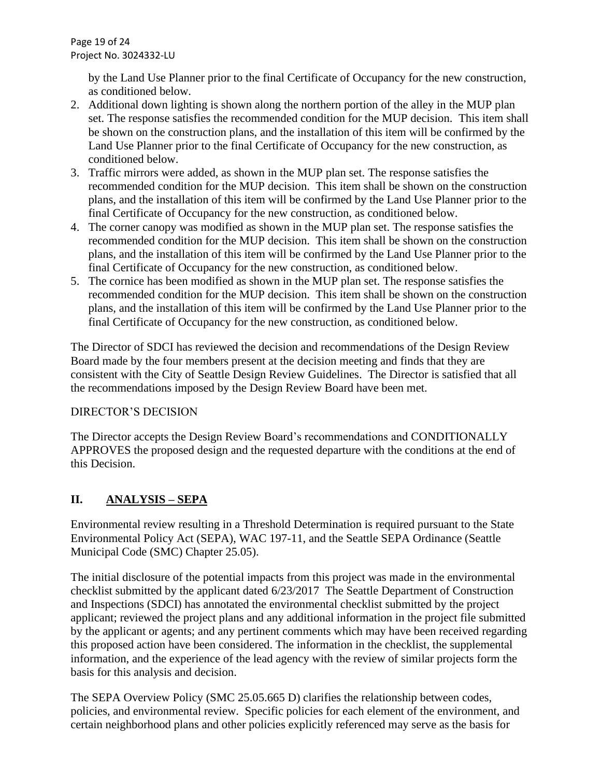Page 19 of 24 Project No. 3024332-LU

> by the Land Use Planner prior to the final Certificate of Occupancy for the new construction, as conditioned below.

- 2. Additional down lighting is shown along the northern portion of the alley in the MUP plan set. The response satisfies the recommended condition for the MUP decision. This item shall be shown on the construction plans, and the installation of this item will be confirmed by the Land Use Planner prior to the final Certificate of Occupancy for the new construction, as conditioned below.
- 3. Traffic mirrors were added, as shown in the MUP plan set. The response satisfies the recommended condition for the MUP decision. This item shall be shown on the construction plans, and the installation of this item will be confirmed by the Land Use Planner prior to the final Certificate of Occupancy for the new construction, as conditioned below.
- 4. The corner canopy was modified as shown in the MUP plan set. The response satisfies the recommended condition for the MUP decision. This item shall be shown on the construction plans, and the installation of this item will be confirmed by the Land Use Planner prior to the final Certificate of Occupancy for the new construction, as conditioned below.
- 5. The cornice has been modified as shown in the MUP plan set. The response satisfies the recommended condition for the MUP decision. This item shall be shown on the construction plans, and the installation of this item will be confirmed by the Land Use Planner prior to the final Certificate of Occupancy for the new construction, as conditioned below.

The Director of SDCI has reviewed the decision and recommendations of the Design Review Board made by the four members present at the decision meeting and finds that they are consistent with the City of Seattle Design Review Guidelines. The Director is satisfied that all the recommendations imposed by the Design Review Board have been met.

### DIRECTOR'S DECISION

The Director accepts the Design Review Board's recommendations and CONDITIONALLY APPROVES the proposed design and the requested departure with the conditions at the end of this Decision.

### **II. ANALYSIS – SEPA**

Environmental review resulting in a Threshold Determination is required pursuant to the State Environmental Policy Act (SEPA), WAC 197-11, and the Seattle SEPA Ordinance (Seattle Municipal Code (SMC) Chapter 25.05).

The initial disclosure of the potential impacts from this project was made in the environmental checklist submitted by the applicant dated 6/23/2017 The Seattle Department of Construction and Inspections (SDCI) has annotated the environmental checklist submitted by the project applicant; reviewed the project plans and any additional information in the project file submitted by the applicant or agents; and any pertinent comments which may have been received regarding this proposed action have been considered. The information in the checklist, the supplemental information, and the experience of the lead agency with the review of similar projects form the basis for this analysis and decision.

The SEPA Overview Policy (SMC 25.05.665 D) clarifies the relationship between codes, policies, and environmental review. Specific policies for each element of the environment, and certain neighborhood plans and other policies explicitly referenced may serve as the basis for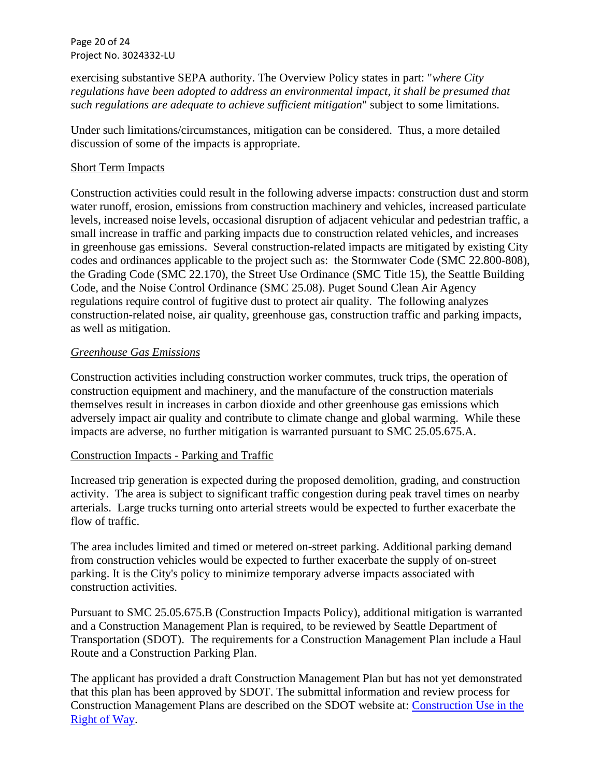Page 20 of 24 Project No. 3024332-LU

exercising substantive SEPA authority. The Overview Policy states in part: "*where City regulations have been adopted to address an environmental impact, it shall be presumed that such regulations are adequate to achieve sufficient mitigation*" subject to some limitations.

Under such limitations/circumstances, mitigation can be considered. Thus, a more detailed discussion of some of the impacts is appropriate.

### Short Term Impacts

Construction activities could result in the following adverse impacts: construction dust and storm water runoff, erosion, emissions from construction machinery and vehicles, increased particulate levels, increased noise levels, occasional disruption of adjacent vehicular and pedestrian traffic, a small increase in traffic and parking impacts due to construction related vehicles, and increases in greenhouse gas emissions. Several construction-related impacts are mitigated by existing City codes and ordinances applicable to the project such as: the Stormwater Code (SMC 22.800-808), the Grading Code (SMC 22.170), the Street Use Ordinance (SMC Title 15), the Seattle Building Code, and the Noise Control Ordinance (SMC 25.08). Puget Sound Clean Air Agency regulations require control of fugitive dust to protect air quality. The following analyzes construction-related noise, air quality, greenhouse gas, construction traffic and parking impacts, as well as mitigation.

### *Greenhouse Gas Emissions*

Construction activities including construction worker commutes, truck trips, the operation of construction equipment and machinery, and the manufacture of the construction materials themselves result in increases in carbon dioxide and other greenhouse gas emissions which adversely impact air quality and contribute to climate change and global warming. While these impacts are adverse, no further mitigation is warranted pursuant to SMC 25.05.675.A.

### Construction Impacts - Parking and Traffic

Increased trip generation is expected during the proposed demolition, grading, and construction activity. The area is subject to significant traffic congestion during peak travel times on nearby arterials. Large trucks turning onto arterial streets would be expected to further exacerbate the flow of traffic.

The area includes limited and timed or metered on-street parking. Additional parking demand from construction vehicles would be expected to further exacerbate the supply of on-street parking. It is the City's policy to minimize temporary adverse impacts associated with construction activities.

Pursuant to SMC 25.05.675.B (Construction Impacts Policy), additional mitigation is warranted and a Construction Management Plan is required, to be reviewed by Seattle Department of Transportation (SDOT). The requirements for a Construction Management Plan include a Haul Route and a Construction Parking Plan.

The applicant has provided a draft Construction Management Plan but has not yet demonstrated that this plan has been approved by SDOT. The submittal information and review process for Construction Management Plans are described on the SDOT website at: [Construction Use in the](http://www.seattle.gov/transportation/permits-and-services/permits/construction-use-in-the-right-of-way)  [Right of Way.](http://www.seattle.gov/transportation/permits-and-services/permits/construction-use-in-the-right-of-way)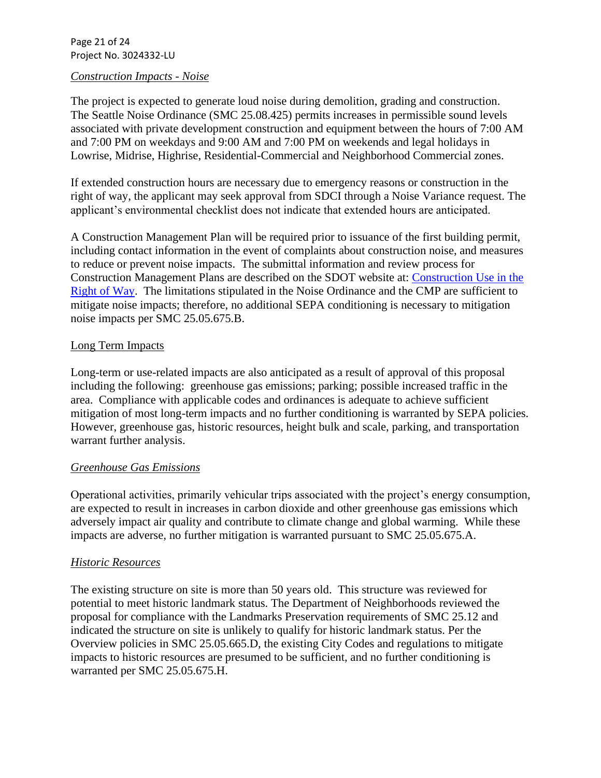Page 21 of 24 Project No. 3024332-LU

#### *Construction Impacts - Noise*

The project is expected to generate loud noise during demolition, grading and construction. The Seattle Noise Ordinance (SMC 25.08.425) permits increases in permissible sound levels associated with private development construction and equipment between the hours of 7:00 AM and 7:00 PM on weekdays and 9:00 AM and 7:00 PM on weekends and legal holidays in Lowrise, Midrise, Highrise, Residential-Commercial and Neighborhood Commercial zones.

If extended construction hours are necessary due to emergency reasons or construction in the right of way, the applicant may seek approval from SDCI through a Noise Variance request. The applicant's environmental checklist does not indicate that extended hours are anticipated.

A Construction Management Plan will be required prior to issuance of the first building permit, including contact information in the event of complaints about construction noise, and measures to reduce or prevent noise impacts. The submittal information and review process for Construction Management Plans are described on the SDOT website at: [Construction Use in the](http://www.seattle.gov/transportation/permits-and-services/permits/construction-use-in-the-right-of-way)  [Right of Way.](http://www.seattle.gov/transportation/permits-and-services/permits/construction-use-in-the-right-of-way) The limitations stipulated in the Noise Ordinance and the CMP are sufficient to mitigate noise impacts; therefore, no additional SEPA conditioning is necessary to mitigation noise impacts per SMC 25.05.675.B.

### Long Term Impacts

Long-term or use-related impacts are also anticipated as a result of approval of this proposal including the following: greenhouse gas emissions; parking; possible increased traffic in the area. Compliance with applicable codes and ordinances is adequate to achieve sufficient mitigation of most long-term impacts and no further conditioning is warranted by SEPA policies. However, greenhouse gas, historic resources, height bulk and scale, parking, and transportation warrant further analysis.

### *Greenhouse Gas Emissions*

Operational activities, primarily vehicular trips associated with the project's energy consumption, are expected to result in increases in carbon dioxide and other greenhouse gas emissions which adversely impact air quality and contribute to climate change and global warming. While these impacts are adverse, no further mitigation is warranted pursuant to SMC 25.05.675.A.

### *Historic Resources*

The existing structure on site is more than 50 years old. This structure was reviewed for potential to meet historic landmark status. The Department of Neighborhoods reviewed the proposal for compliance with the Landmarks Preservation requirements of SMC 25.12 and indicated the structure on site is unlikely to qualify for historic landmark status. Per the Overview policies in SMC 25.05.665.D, the existing City Codes and regulations to mitigate impacts to historic resources are presumed to be sufficient, and no further conditioning is warranted per SMC 25.05.675.H.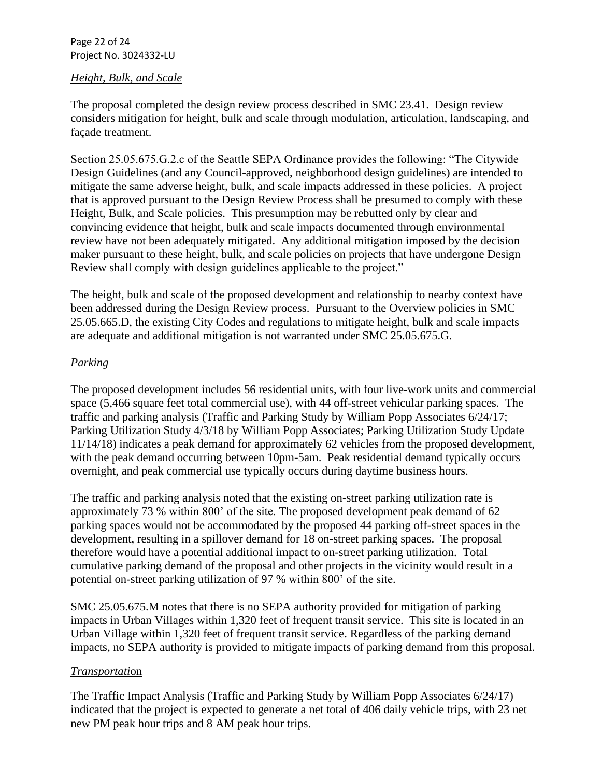Page 22 of 24 Project No. 3024332-LU

### *Height, Bulk, and Scale*

The proposal completed the design review process described in SMC 23.41. Design review considers mitigation for height, bulk and scale through modulation, articulation, landscaping, and façade treatment.

Section 25.05.675.G.2.c of the Seattle SEPA Ordinance provides the following: "The Citywide Design Guidelines (and any Council-approved, neighborhood design guidelines) are intended to mitigate the same adverse height, bulk, and scale impacts addressed in these policies. A project that is approved pursuant to the Design Review Process shall be presumed to comply with these Height, Bulk, and Scale policies. This presumption may be rebutted only by clear and convincing evidence that height, bulk and scale impacts documented through environmental review have not been adequately mitigated. Any additional mitigation imposed by the decision maker pursuant to these height, bulk, and scale policies on projects that have undergone Design Review shall comply with design guidelines applicable to the project."

The height, bulk and scale of the proposed development and relationship to nearby context have been addressed during the Design Review process. Pursuant to the Overview policies in SMC 25.05.665.D, the existing City Codes and regulations to mitigate height, bulk and scale impacts are adequate and additional mitigation is not warranted under SMC 25.05.675.G.

### *Parking*

The proposed development includes 56 residential units, with four live-work units and commercial space (5,466 square feet total commercial use), with 44 off-street vehicular parking spaces. The traffic and parking analysis (Traffic and Parking Study by William Popp Associates 6/24/17; Parking Utilization Study 4/3/18 by William Popp Associates; Parking Utilization Study Update 11/14/18) indicates a peak demand for approximately 62 vehicles from the proposed development, with the peak demand occurring between 10pm-5am. Peak residential demand typically occurs overnight, and peak commercial use typically occurs during daytime business hours.

The traffic and parking analysis noted that the existing on-street parking utilization rate is approximately 73 % within 800' of the site. The proposed development peak demand of 62 parking spaces would not be accommodated by the proposed 44 parking off-street spaces in the development, resulting in a spillover demand for 18 on-street parking spaces. The proposal therefore would have a potential additional impact to on-street parking utilization. Total cumulative parking demand of the proposal and other projects in the vicinity would result in a potential on-street parking utilization of 97 % within 800' of the site.

SMC 25.05.675.M notes that there is no SEPA authority provided for mitigation of parking impacts in Urban Villages within 1,320 feet of frequent transit service. This site is located in an Urban Village within 1,320 feet of frequent transit service. Regardless of the parking demand impacts, no SEPA authority is provided to mitigate impacts of parking demand from this proposal.

### *Transportati*on

The Traffic Impact Analysis (Traffic and Parking Study by William Popp Associates 6/24/17) indicated that the project is expected to generate a net total of 406 daily vehicle trips, with 23 net new PM peak hour trips and 8 AM peak hour trips.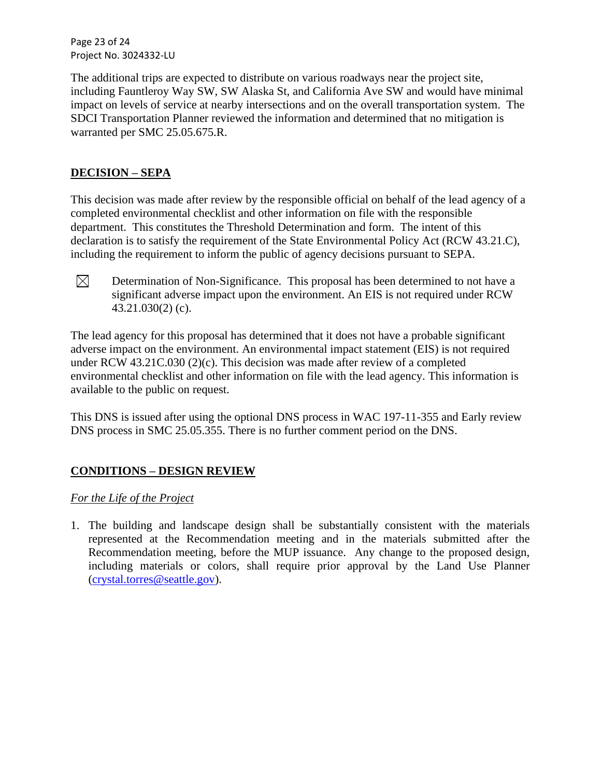Page 23 of 24 Project No. 3024332-LU

The additional trips are expected to distribute on various roadways near the project site, including Fauntleroy Way SW, SW Alaska St, and California Ave SW and would have minimal impact on levels of service at nearby intersections and on the overall transportation system. The SDCI Transportation Planner reviewed the information and determined that no mitigation is warranted per SMC 25.05.675.R.

### **DECISION – SEPA**

This decision was made after review by the responsible official on behalf of the lead agency of a completed environmental checklist and other information on file with the responsible department. This constitutes the Threshold Determination and form. The intent of this declaration is to satisfy the requirement of the State Environmental Policy Act (RCW 43.21.C), including the requirement to inform the public of agency decisions pursuant to SEPA.



Determination of Non-Significance. This proposal has been determined to not have a significant adverse impact upon the environment. An EIS is not required under RCW 43.21.030(2) (c).

The lead agency for this proposal has determined that it does not have a probable significant adverse impact on the environment. An environmental impact statement (EIS) is not required under RCW [43.21C.030](http://apps.leg.wa.gov/RCW/default.aspx?cite=43.21C.030) (2)(c). This decision was made after review of a completed environmental checklist and other information on file with the lead agency. This information is available to the public on request.

This DNS is issued after using the optional DNS process in WAC [197-11-355](http://apps.leg.wa.gov/WAC/default.aspx?cite=197-11-355) and Early review DNS process in SMC 25.05.355. There is no further comment period on the DNS.

### **CONDITIONS – DESIGN REVIEW**

### *For the Life of the Project*

1. The building and landscape design shall be substantially consistent with the materials represented at the Recommendation meeting and in the materials submitted after the Recommendation meeting, before the MUP issuance. Any change to the proposed design, including materials or colors, shall require prior approval by the Land Use Planner [\(crystal.torres@seattle.gov\)](mailto:crystal.torres@seattle.gov).